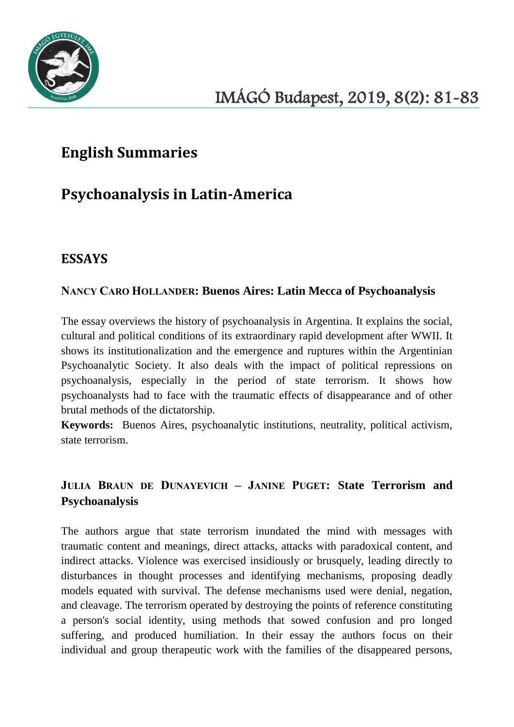

# **English Summaries**

# **Psychoanalysis in Latin-America**

## **ESSAYS**

#### NANCY CARO HOLLANDER**: Buenos Aires: Latin Mecca of Psychoanalysis**

The essay overviews the history of psychoanalysis in Argentina. It explains the social, cultural and political conditions of its extraordinary rapid development after WWII. It shows its institutionalization and the emergence and ruptures within the Argentinian Psychoanalytic Society. It also deals with the impact of political repressions on psychoanalysis, especially in the period of state terrorism. It shows how psychoanalysts had to face with the traumatic effects of disappearance and of other brutal methods of the dictatorship.

**Keywords:** Buenos Aires, psychoanalytic institutions, neutrality, political activism, state terrorism.

### JULIA BRAUN DE DUNAYEVICH – JANINE PUGET**: State Terrorism and Psychoanalysis**

The authors argue that state terrorism inundated the mind with messages with traumatic content and meanings, direct attacks, attacks with paradoxical content, and indirect attacks. Violence was exercised insidiously or brusquely, leading directly to disturbances in thought processes and identifying mechanisms, proposing deadly models equated with survival. The defense mechanisms used were denial, negation, and cleavage. The terrorism operated by destroying the points of reference constituting a person's social identity, using methods that sowed confusion and pro longed suffering, and produced humiliation. In their essay the authors focus on their individual and group therapeutic work with the families of the disappeared persons,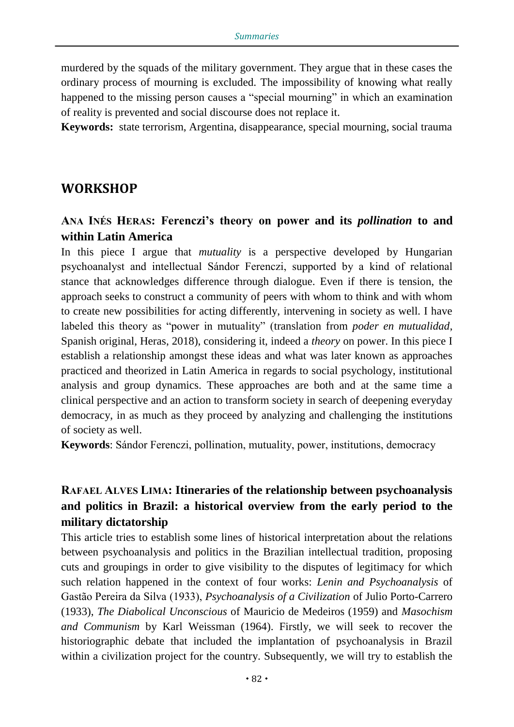murdered by the squads of the military government. They argue that in these cases the ordinary process of mourning is excluded. The impossibility of knowing what really happened to the missing person causes a "special mourning" in which an examination of reality is prevented and social discourse does not replace it.

**Keywords:** state terrorism, Argentina, disappearance, special mourning, social trauma

#### **WORKSHOP**

#### ANA INÉS HERAS**: Ferenczi's theory on power and its** *pollination* **to and within Latin America**

In this piece I argue that *mutuality* is a perspective developed by Hungarian psychoanalyst and intellectual Sándor Ferenczi, supported by a kind of relational stance that acknowledges difference through dialogue. Even if there is tension, the approach seeks to construct a community of peers with whom to think and with whom to create new possibilities for acting differently, intervening in society as well. I have labeled this theory as "power in mutuality" (translation from *poder en mutualidad*, Spanish original, Heras, 2018), considering it, indeed a *theory* on power. In this piece I establish a relationship amongst these ideas and what was later known as approaches practiced and theorized in Latin America in regards to social psychology, institutional analysis and group dynamics. These approaches are both and at the same time a clinical perspective and an action to transform society in search of deepening everyday democracy, in as much as they proceed by analyzing and challenging the institutions of society as well.

**Keywords**: Sándor Ferenczi, pollination, mutuality, power, institutions, democracy

### RAFAEL ALVES LIMA**: Itineraries of the relationship between psychoanalysis and politics in Brazil: a historical overview from the early period to the military dictatorship**

This article tries to establish some lines of historical interpretation about the relations between psychoanalysis and politics in the Brazilian intellectual tradition, proposing cuts and groupings in order to give visibility to the disputes of legitimacy for which such relation happened in the context of four works: *Lenin and Psychoanalysis* of Gastão Pereira da Silva (1933), *Psychoanalysis of a Civilization* of Julio Porto-Carrero (1933), *The Diabolical Unconscious* of Mauricio de Medeiros (1959) and *Masochism and Communism* by Karl Weissman (1964). Firstly, we will seek to recover the historiographic debate that included the implantation of psychoanalysis in Brazil within a civilization project for the country. Subsequently, we will try to establish the